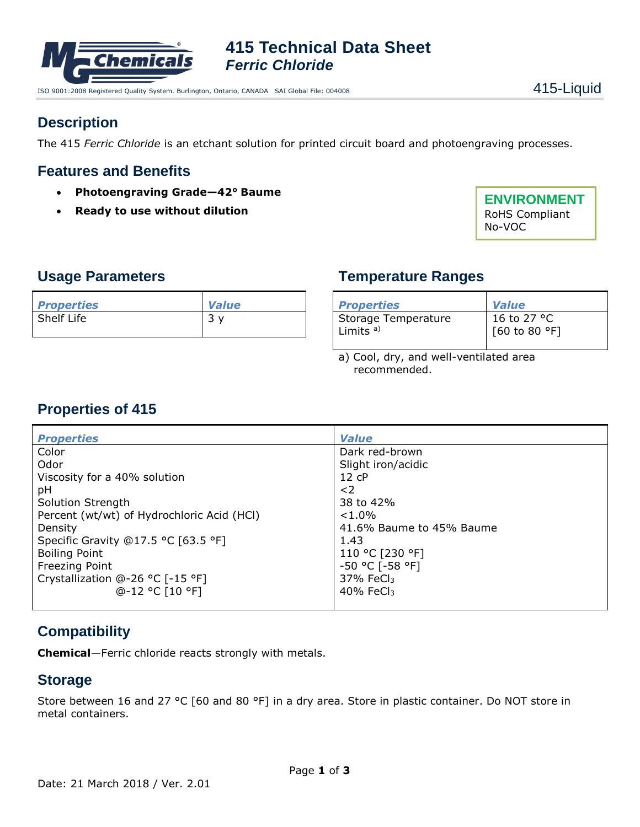

**415 Technical Data Sheet** *Ferric Chloride*

ISO 9001:2008 Registered Quality System. Burlington, Ontario, CANADA SAI Global File: 004008 4415-14

# **Description**

The 415 *Ferric Chloride* is an etchant solution for printed circuit board and photoengraving processes.

### **Features and Benefits**

- **Photoengraving Grade—42° Baume**
- **Ready to use without dilution**

**ENVIRONMENT** RoHS Compliant No-VOC

#### **Usage Parameters**

| <b>Properties</b> | <b>Value</b> |
|-------------------|--------------|
| Shelf Life        | っ            |

# **Temperature Ranges**

| <b>Properties</b>      | <b>Value</b>  |
|------------------------|---------------|
| Storage Temperature    | 16 to 27 °C   |
| l Limits <sup>a)</sup> | [60 to 80 °F] |

a) Cool, dry, and well-ventilated area recommended.

# **Properties of 415**

| <b>Properties</b>                          | <b>Value</b>             |
|--------------------------------------------|--------------------------|
| Color                                      | Dark red-brown           |
| Odor                                       | Slight iron/acidic       |
| Viscosity for a 40% solution               | $12$ $cP$                |
| рH                                         | $<$ 2                    |
| Solution Strength                          | 38 to 42%                |
| Percent (wt/wt) of Hydrochloric Acid (HCl) | $< 1.0\%$                |
| Density                                    | 41.6% Baume to 45% Baume |
| Specific Gravity @17.5 °C [63.5 °F]        | 1.43                     |
| <b>Boiling Point</b>                       | 110 °C [230 °F]          |
| Freezing Point                             | -50 °C [-58 °F]          |
| Crystallization @-26 °C [-15 °F]           | $37\%$ FeCl <sub>3</sub> |
| $@-12$ °C [10 °F]                          | $40\%$ FeCl <sub>3</sub> |
|                                            |                          |

# **Compatibility**

**Chemical**—Ferric chloride reacts strongly with metals.

#### **Storage**

Store between 16 and 27 °C [60 and 80 °F] in a dry area. Store in plastic container. Do NOT store in metal containers.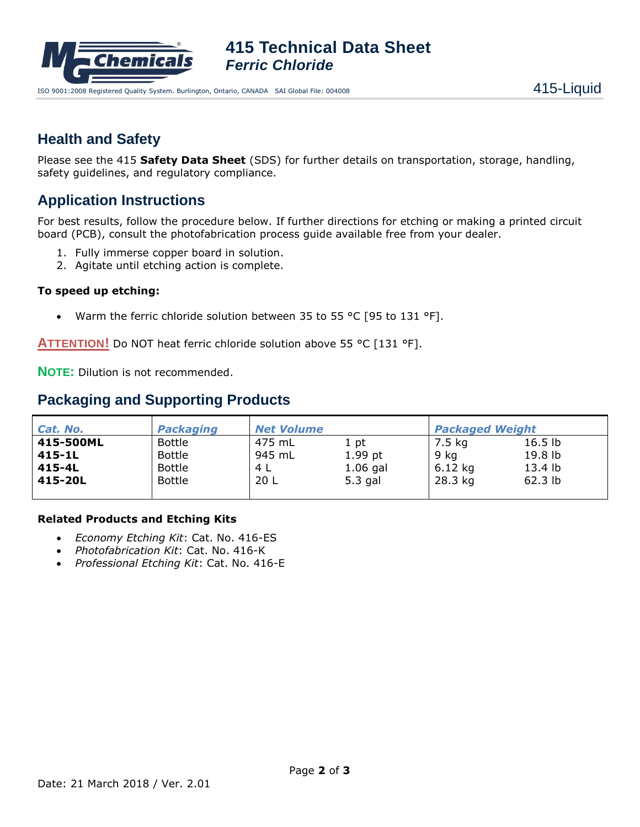

**415 Technical Data Sheet** *Ferric Chloride*

### **Health and Safety**

Please see the 415 **Safety Data Sheet** (SDS) for further details on transportation, storage, handling, safety guidelines, and regulatory compliance.

# **Application Instructions**

For best results, follow the procedure below. If further directions for etching or making a printed circuit board (PCB), consult the photofabrication process guide available free from your dealer.

- 1. Fully immerse copper board in solution.
- 2. Agitate until etching action is complete.

#### **To speed up etching:**

Warm the ferric chloride solution between 35 to 55 °C [95 to 131 °F].

**ATTENTION!** Do NOT heat ferric chloride solution above 55 °C [131 °F].

**NOTE:** Dilution is not recommended.

### **Packaging and Supporting Products**

| Cat. No.  | <b>Packaging</b> | <b>Net Volume</b> |            | <b>Packaged Weight</b> |                    |
|-----------|------------------|-------------------|------------|------------------------|--------------------|
| 415-500ML | Bottle           | 475 mL            | 1 pt       | 7.5 kg                 | 16.5 <sub>lb</sub> |
| 415-1L    | <b>Bottle</b>    | 945 mL            | $1.99$ pt  | 9 kg                   | 19.8 lb            |
| 415-4L    | <b>Bottle</b>    | 4 L               | $1.06$ gal | $6.12$ kg              | 13.4 lb            |
| 415-20L   | <b>Bottle</b>    | 20L               | $5.3$ gal  | 28.3 kg                | $62.3$ lb          |
|           |                  |                   |            |                        |                    |

#### **Related Products and Etching Kits**

- *Economy Etching Kit*: Cat. No. 416-ES
- *Photofabrication Kit*: Cat. No. 416-K
- *Professional Etching Kit*: Cat. No. 416-E